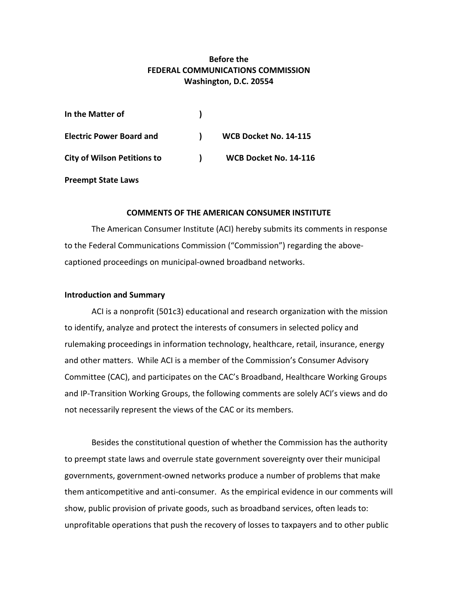# **Before the FEDERAL COMMUNICATIONS COMMISSION Washington, D.C. 20554**

| In the Matter of                   |              |                       |
|------------------------------------|--------------|-----------------------|
| <b>Electric Power Board and</b>    | $\mathbf{r}$ | WCB Docket No. 14-115 |
| <b>City of Wilson Petitions to</b> | $\mathbf{1}$ | WCB Docket No. 14-116 |

#### **Preempt State Laws**

### **COMMENTS OF THE AMERICAN CONSUMER INSTITUTE**

The American Consumer Institute (ACI) hereby submits its comments in response to the Federal Communications Commission ("Commission") regarding the abovecaptioned proceedings on municipal-owned broadband networks.

#### **Introduction and Summary**

ACI is a nonprofit (501c3) educational and research organization with the mission to identify, analyze and protect the interests of consumers in selected policy and rulemaking proceedings in information technology, healthcare, retail, insurance, energy and other matters. While ACI is a member of the Commission's Consumer Advisory Committee (CAC), and participates on the CAC's Broadband, Healthcare Working Groups and IP-Transition Working Groups, the following comments are solely ACI's views and do not necessarily represent the views of the CAC or its members.

Besides the constitutional question of whether the Commission has the authority to preempt state laws and overrule state government sovereignty over their municipal governments, government-owned networks produce a number of problems that make them anticompetitive and anti-consumer. As the empirical evidence in our comments will show, public provision of private goods, such as broadband services, often leads to: unprofitable operations that push the recovery of losses to taxpayers and to other public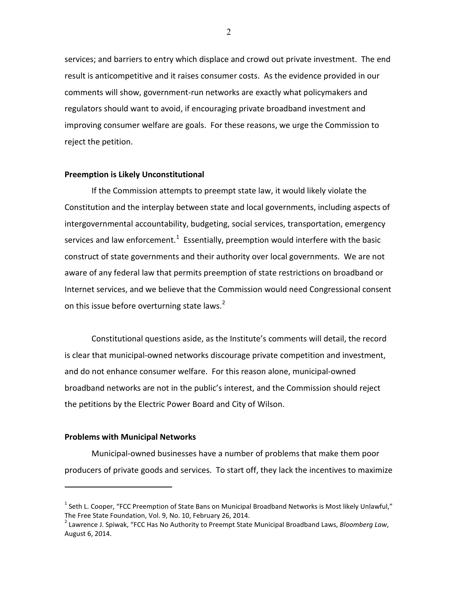services; and barriers to entry which displace and crowd out private investment. The end result is anticompetitive and it raises consumer costs. As the evidence provided in our comments will show, government-run networks are exactly what policymakers and regulators should want to avoid, if encouraging private broadband investment and improving consumer welfare are goals. For these reasons, we urge the Commission to reject the petition.

## **Preemption is Likely Unconstitutional**

If the Commission attempts to preempt state law, it would likely violate the Constitution and the interplay between state and local governments, including aspects of intergovernmental accountability, budgeting, social services, transportation, emergency services and law enforcement.<sup>[1](#page-1-0)</sup> Essentially, preemption would interfere with the basic construct of state governments and their authority over local governments. We are not aware of any federal law that permits preemption of state restrictions on broadband or Internet services, and we believe that the Commission would need Congressional consent on this issue before overturning state laws.<sup>[2](#page-1-1)</sup>

Constitutional questions aside, as the Institute's comments will detail, the record is clear that municipal-owned networks discourage private competition and investment, and do not enhance consumer welfare. For this reason alone, municipal-owned broadband networks are not in the public's interest, and the Commission should reject the petitions by the Electric Power Board and City of Wilson.

### **Problems with Municipal Networks**

 $\overline{a}$ 

Municipal-owned businesses have a number of problems that make them poor producers of private goods and services. To start off, they lack the incentives to maximize

<span id="page-1-0"></span><sup>&</sup>lt;sup>1</sup> Seth L. Cooper, "FCC Preemption of State Bans on Municipal Broadband Networks is Most likely Unlawful," The Free State Foundation, Vol. 9, No. 10, February 26, 2014.

<span id="page-1-1"></span><sup>2</sup> Lawrence J. Spiwak, "FCC Has No Authority to Preempt State Municipal Broadband Laws, *Bloomberg Law*, August 6, 2014.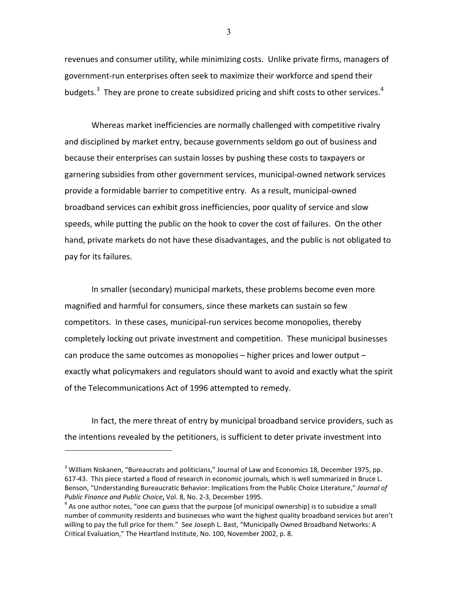revenues and consumer utility, while minimizing costs. Unlike private firms, managers of government-run enterprises often seek to maximize their workforce and spend their budgets. $3$  They are prone to create subsidized pricing and shift costs to other services.<sup>[4](#page-2-1)</sup>

Whereas market inefficiencies are normally challenged with competitive rivalry and disciplined by market entry, because governments seldom go out of business and because their enterprises can sustain losses by pushing these costs to taxpayers or garnering subsidies from other government services, municipal-owned network services provide a formidable barrier to competitive entry. As a result, municipal-owned broadband services can exhibit gross inefficiencies, poor quality of service and slow speeds, while putting the public on the hook to cover the cost of failures. On the other hand, private markets do not have these disadvantages, and the public is not obligated to pay for its failures.

In smaller (secondary) municipal markets, these problems become even more magnified and harmful for consumers, since these markets can sustain so few competitors. In these cases, municipal-run services become monopolies, thereby completely locking out private investment and competition. These municipal businesses can produce the same outcomes as monopolies – higher prices and lower output – exactly what policymakers and regulators should want to avoid and exactly what the spirit of the Telecommunications Act of 1996 attempted to remedy.

In fact, the mere threat of entry by municipal broadband service providers, such as the intentions revealed by the petitioners, is sufficient to deter private investment into

 $\overline{a}$ 

3

<span id="page-2-0"></span><sup>&</sup>lt;sup>3</sup> William Niskanen, "Bureaucrats and politicians," Journal of Law and Economics 18, December 1975, pp. 617-43. This piece started a flood of research in economic journals, which is well summarized in Bruce L. Benson, "Understanding Bureaucratic Behavior: Implications from the Public Choice Literature," *Journal of Public Finance and Public Choice*, Vol. 8, No. 2-3, December 1995.<br><sup>4</sup> As one author notes, "one can guess that the purpose [of municipal ownership] is to subsidize a small

<span id="page-2-1"></span>number of community residents and businesses who want the highest quality broadband services but aren't willing to pay the full price for them." See Joseph L. Bast, "Municipally Owned Broadband Networks: A Critical Evaluation," The Heartland Institute, No. 100, November 2002, p. 8.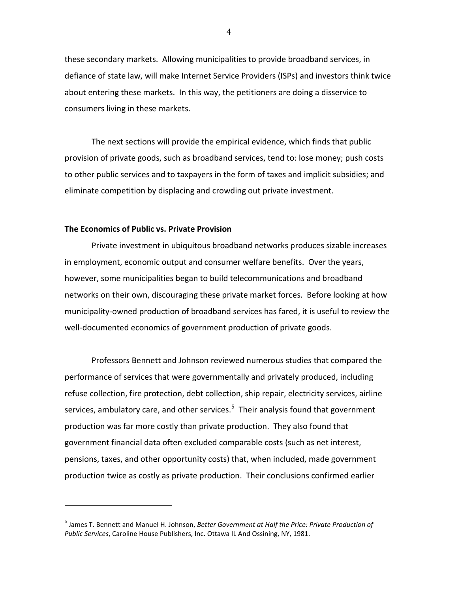these secondary markets. Allowing municipalities to provide broadband services, in defiance of state law, will make Internet Service Providers (ISPs) and investors think twice about entering these markets. In this way, the petitioners are doing a disservice to consumers living in these markets.

The next sections will provide the empirical evidence, which finds that public provision of private goods, such as broadband services, tend to: lose money; push costs to other public services and to taxpayers in the form of taxes and implicit subsidies; and eliminate competition by displacing and crowding out private investment.

#### **The Economics of Public vs. Private Provision**

 $\overline{a}$ 

Private investment in ubiquitous broadband networks produces sizable increases in employment, economic output and consumer welfare benefits. Over the years, however, some municipalities began to build telecommunications and broadband networks on their own, discouraging these private market forces. Before looking at how municipality-owned production of broadband services has fared, it is useful to review the well-documented economics of government production of private goods.

Professors Bennett and Johnson reviewed numerous studies that compared the performance of services that were governmentally and privately produced, including refuse collection, fire protection, debt collection, ship repair, electricity services, airline services, ambulatory care, and other services. $5$  Their analysis found that government production was far more costly than private production. They also found that government financial data often excluded comparable costs (such as net interest, pensions, taxes, and other opportunity costs) that, when included, made government production twice as costly as private production. Their conclusions confirmed earlier

<span id="page-3-0"></span><sup>5</sup> James T. Bennett and Manuel H. Johnson, *Better Government at Half the Price: Private Production of Public Services*, Caroline House Publishers, Inc. Ottawa IL And Ossining, NY, 1981.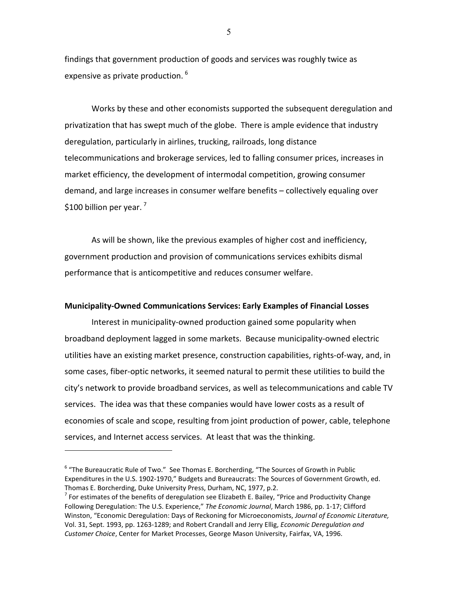findings that government production of goods and services was roughly twice as expensive as private production. <sup>[6](#page-4-0)</sup>

Works by these and other economists supported the subsequent deregulation and privatization that has swept much of the globe. There is ample evidence that industry deregulation, particularly in airlines, trucking, railroads, long distance telecommunications and brokerage services, led to falling consumer prices, increases in market efficiency, the development of intermodal competition, growing consumer demand, and large increases in consumer welfare benefits – collectively equaling over \$100 billion per year.  $<sup>7</sup>$  $<sup>7</sup>$  $<sup>7</sup>$ </sup>

As will be shown, like the previous examples of higher cost and inefficiency, government production and provision of communications services exhibits dismal performance that is anticompetitive and reduces consumer welfare.

#### **Municipality-Owned Communications Services: Early Examples of Financial Losses**

Interest in municipality-owned production gained some popularity when broadband deployment lagged in some markets. Because municipality-owned electric utilities have an existing market presence, construction capabilities, rights-of-way, and, in some cases, fiber-optic networks, it seemed natural to permit these utilities to build the city's network to provide broadband services, as well as telecommunications and cable TV services. The idea was that these companies would have lower costs as a result of economies of scale and scope, resulting from joint production of power, cable, telephone services, and Internet access services. At least that was the thinking.

 $\overline{a}$ 

5

<span id="page-4-0"></span><sup>6</sup> "The Bureaucratic Rule of Two." See Thomas E. Borcherding, "The Sources of Growth in Public Expenditures in the U.S. 1902-1970," Budgets and Bureaucrats: The Sources of Government Growth, ed. Thomas E. Borcherding, Duke University Press, Durham, NC, 1977, p.2.

<span id="page-4-1"></span> $<sup>7</sup>$  For estimates of the benefits of deregulation see Elizabeth E. Bailey, "Price and Productivity Change</sup> Following Deregulation: The U.S. Experience," *The Economic Journal*, March 1986, pp. 1-17; Clifford Winston, "Economic Deregulation: Days of Reckoning for Microeconomists, *Journal of Economic Literature,* Vol. 31, Sept. 1993, pp. 1263-1289; and Robert Crandall and Jerry Ellig, *Economic Deregulation and Customer Choice*, Center for Market Processes, George Mason University, Fairfax, VA, 1996.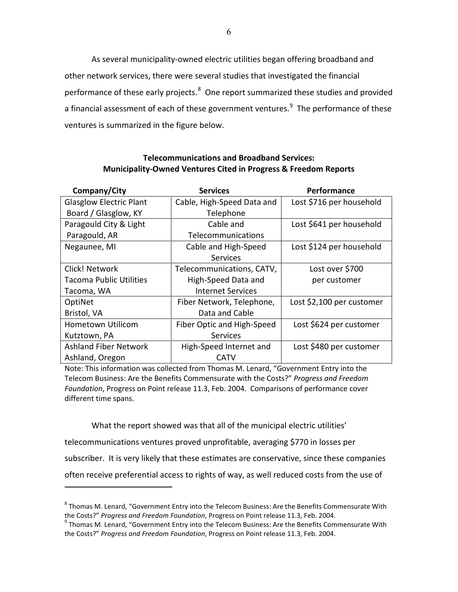As several municipality-owned electric utilities began offering broadband and other network services, there were several studies that investigated the financial performance of these early projects. $^8$  $^8$  One report summarized these studies and provided a financial assessment of each of these government ventures.<sup>[9](#page-5-1)</sup> The performance of these ventures is summarized in the figure below.

## **Telecommunications and Broadband Services: Municipality-Owned Ventures Cited in Progress & Freedom Reports**

| Company/City                   | <b>Services</b>            | <b>Performance</b>        |
|--------------------------------|----------------------------|---------------------------|
| <b>Glasglow Electric Plant</b> | Cable, High-Speed Data and | Lost \$716 per household  |
| Board / Glasglow, KY           | Telephone                  |                           |
| Paragould City & Light         | Cable and                  | Lost \$641 per household  |
| Paragould, AR                  | <b>Telecommunications</b>  |                           |
| Negaunee, MI                   | Cable and High-Speed       | Lost \$124 per household  |
|                                | <b>Services</b>            |                           |
| Click! Network                 | Telecommunications, CATV,  | Lost over \$700           |
| <b>Tacoma Public Utilities</b> | High-Speed Data and        | per customer              |
| Tacoma, WA                     | Internet Services          |                           |
| OptiNet                        | Fiber Network, Telephone,  | Lost \$2,100 per customer |
| Bristol, VA                    | Data and Cable             |                           |
| Hometown Utilicom              | Fiber Optic and High-Speed | Lost \$624 per customer   |
| Kutztown, PA                   | Services                   |                           |
| <b>Ashland Fiber Network</b>   | High-Speed Internet and    | Lost \$480 per customer   |
| Ashland, Oregon                | <b>CATV</b>                |                           |

Note: This information was collected from Thomas M. Lenard, "Government Entry into the Telecom Business: Are the Benefits Commensurate with the Costs?" *Progress and Freedom Foundation*, Progress on Point release 11.3, Feb. 2004. Comparisons of performance cover different time spans.

What the report showed was that all of the municipal electric utilities'

telecommunications ventures proved unprofitable, averaging \$770 in losses per

 $\overline{a}$ 

subscriber. It is very likely that these estimates are conservative, since these companies

often receive preferential access to rights of way, as well reduced costs from the use of

<span id="page-5-0"></span> $8$  Thomas M. Lenard, "Government Entry into the Telecom Business: Are the Benefits Commensurate With the Costs?" *Progress and Freedom Foundation*, Progress on Point release 11.3, Feb. 2004.<br><sup>9</sup> Thomas M. Lenard, "Government Entry into the Telecom Business: Are the Benefits Commensurate With

<span id="page-5-1"></span>the Costs?" *Progress and Freedom Foundation*, Progress on Point release 11.3, Feb. 2004.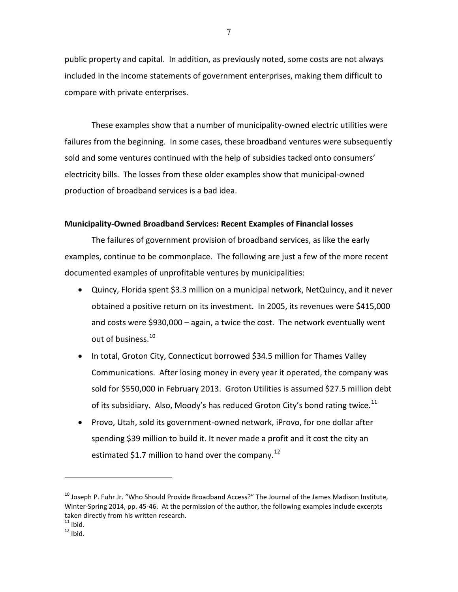public property and capital. In addition, as previously noted, some costs are not always included in the income statements of government enterprises, making them difficult to compare with private enterprises.

These examples show that a number of municipality-owned electric utilities were failures from the beginning. In some cases, these broadband ventures were subsequently sold and some ventures continued with the help of subsidies tacked onto consumers' electricity bills. The losses from these older examples show that municipal-owned production of broadband services is a bad idea.

## **Municipality-Owned Broadband Services: Recent Examples of Financial losses**

The failures of government provision of broadband services, as like the early examples, continue to be commonplace. The following are just a few of the more recent documented examples of unprofitable ventures by municipalities:

- Quincy, Florida spent \$3.3 million on a municipal network, NetQuincy, and it never obtained a positive return on its investment. In 2005, its revenues were \$415,000 and costs were \$930,000 – again, a twice the cost. The network eventually went out of business.<sup>[10](#page-6-0)</sup>
- In total, Groton City, Connecticut borrowed \$34.5 million for Thames Valley Communications. After losing money in every year it operated, the company was sold for \$550,000 in February 2013. Groton Utilities is assumed \$27.5 million debt of its subsidiary. Also, Moody's has reduced Groton City's bond rating twice.<sup>[11](#page-6-1)</sup>
- Provo, Utah, sold its government-owned network, iProvo, for one dollar after spending \$39 million to build it. It never made a profit and it cost the city an estimated \$1.7 million to hand over the company.<sup>[12](#page-6-2)</sup>

<span id="page-6-0"></span><sup>&</sup>lt;sup>10</sup> Joseph P. Fuhr Jr. "Who Should Provide Broadband Access?" The Journal of the James Madison Institute, Winter-Spring 2014, pp. 45-46. At the permission of the author, the following examples include excerpts taken directly from his written research.<br><sup>11</sup> Ibid.

<span id="page-6-2"></span><span id="page-6-1"></span> $12$  Ibid.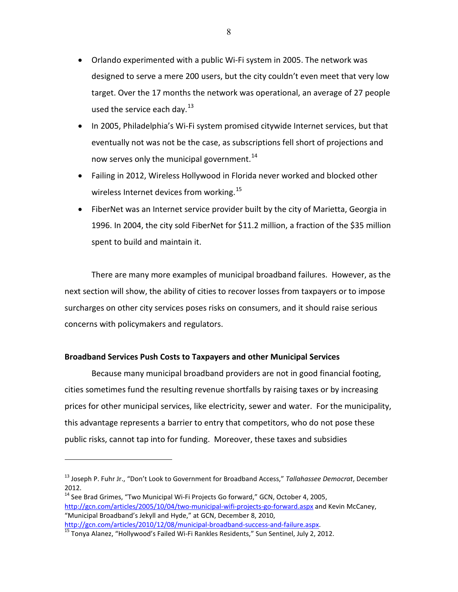- Orlando experimented with a public Wi-Fi system in 2005. The network was designed to serve a mere 200 users, but the city couldn't even meet that very low target. Over the 17 months the network was operational, an average of 27 people used the service each day. $^{13}$  $^{13}$  $^{13}$
- In 2005, Philadelphia's Wi-Fi system promised citywide Internet services, but that eventually not was not be the case, as subscriptions fell short of projections and now serves only the municipal government.<sup>[14](#page-7-1)</sup>
- Failing in 2012, Wireless Hollywood in Florida never worked and blocked other wireless Internet devices from working.<sup>[15](#page-7-2)</sup>
- FiberNet was an Internet service provider built by the city of Marietta, Georgia in 1996. In 2004, the city sold FiberNet for \$11.2 million, a fraction of the \$35 million spent to build and maintain it.

There are many more examples of municipal broadband failures. However, as the next section will show, the ability of cities to recover losses from taxpayers or to impose surcharges on other city services poses risks on consumers, and it should raise serious concerns with policymakers and regulators.

## **Broadband Services Push Costs to Taxpayers and other Municipal Services**

Because many municipal broadband providers are not in good financial footing, cities sometimes fund the resulting revenue shortfalls by raising taxes or by increasing prices for other municipal services, like electricity, sewer and water. For the municipality, this advantage represents a barrier to entry that competitors, who do not pose these public risks, cannot tap into for funding. Moreover, these taxes and subsidies

<span id="page-7-0"></span><sup>13</sup> Joseph P. Fuhr Jr., "Don't Look to Government for Broadband Access," *Tallahassee Democrat*, December 2012.

<span id="page-7-1"></span> $14$  See Brad Grimes, "Two Municipal Wi-Fi Projects Go forward," GCN, October 4, 2005, <http://gcn.com/articles/2005/10/04/two-municipal-wifi-projects-go-forward.aspx> and Kevin McCaney, "Municipal Broadband's Jekyll and Hyde," at GCN, December 8, 2010,

<span id="page-7-2"></span>[http://gcn.com/articles/2010/12/08/municipal-broadband-success-and-failure.aspx.](http://gcn.com/articles/2010/12/08/municipal-broadband-success-and-failure.aspx) [15](http://gcn.com/articles/2010/12/08/municipal-broadband-success-and-failure.aspx) Tonya Alanez, "Hollywood's Failed Wi-Fi Rankles Residents," Sun Sentinel, July 2, 2012.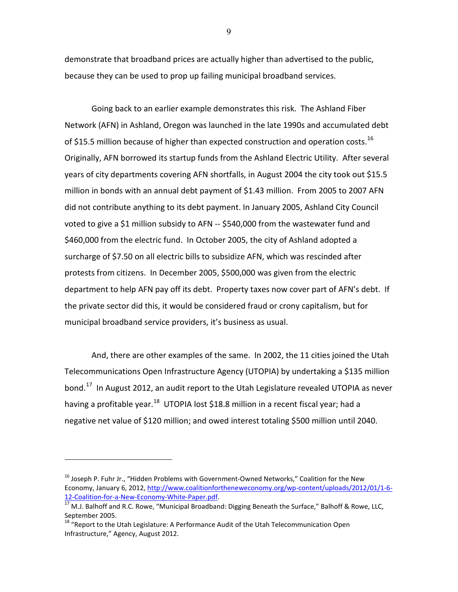demonstrate that broadband prices are actually higher than advertised to the public, because they can be used to prop up failing municipal broadband services.

Going back to an earlier example demonstrates this risk. The Ashland Fiber Network (AFN) in Ashland, Oregon was launched in the late 1990s and accumulated debt of \$15.5 million because of higher than expected construction and operation costs.<sup>[16](#page-8-0)</sup> Originally, AFN borrowed its startup funds from the Ashland Electric Utility. After several years of city departments covering AFN shortfalls, in August 2004 the city took out \$15.5 million in bonds with an annual debt payment of \$1.43 million. From 2005 to 2007 AFN did not contribute anything to its debt payment. In January 2005, Ashland City Council voted to give a \$1 million subsidy to AFN -- \$540,000 from the wastewater fund and \$460,000 from the electric fund. In October 2005, the city of Ashland adopted a surcharge of \$7.50 on all electric bills to subsidize AFN, which was rescinded after protests from citizens. In December 2005, \$500,000 was given from the electric department to help AFN pay off its debt. Property taxes now cover part of AFN's debt. If the private sector did this, it would be considered fraud or crony capitalism, but for municipal broadband service providers, it's business as usual.

And, there are other examples of the same. In 2002, the 11 cities joined the Utah Telecommunications Open Infrastructure Agency (UTOPIA) by undertaking a \$135 million bond.<sup>[17](#page-8-1)</sup> In August 2012, an audit report to the Utah Legislature revealed UTOPIA as never having a profitable year.<sup>[18](#page-8-2)</sup> UTOPIA lost \$18.8 million in a recent fiscal year; had a negative net value of \$120 million; and owed interest totaling \$500 million until 2040.

 $\overline{a}$ 

9

<span id="page-8-0"></span><sup>&</sup>lt;sup>16</sup> Joseph P. Fuhr Jr., "Hidden Problems with Government-Owned Networks," Coalition for the New Economy, January 6, 2012, [http://www.coalitionfortheneweconomy.org/wp-content/uploads/2012/01/1-6-](http://www.coalitionfortheneweconomy.org/wp-content/uploads/2012/01/1-6-12-Coalition-for-a-New-Economy-White-Paper.pdf) 12-Coalition-for-a-New-Economy-White-Paper.pdf.<br><sup>17</sup> M.J. Balhoff and R.C. Rowe, "Municipal Broadband: Digging Beneath the Surface," Balhoff & Rowe, LLC,

<span id="page-8-1"></span>September 2005.

<span id="page-8-2"></span> $18$  "Report to the Utah Legislature: A Performance Audit of the Utah Telecommunication Open Infrastructure," Agency, August 2012.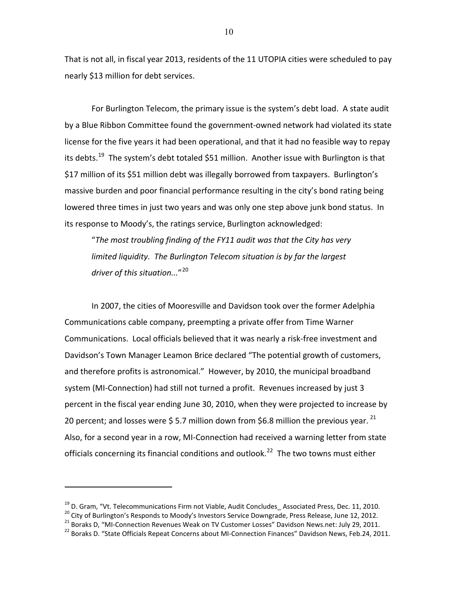That is not all, in fiscal year 2013, residents of the 11 UTOPIA cities were scheduled to pay nearly \$13 million for debt services.

For Burlington Telecom, the primary issue is the system's debt load. A state audit by a Blue Ribbon Committee found the government-owned network had violated its state license for the five years it had been operational, and that it had no feasible way to repay its debts.<sup>[19](#page-9-0)</sup> The system's debt totaled \$51 million. Another issue with Burlington is that \$17 million of its \$51 million debt was illegally borrowed from taxpayers. Burlington's massive burden and poor financial performance resulting in the city's bond rating being lowered three times in just two years and was only one step above junk bond status. In its response to Moody's, the ratings service, Burlington acknowledged:

"*The most troubling finding of the FY11 audit was that the City has very limited liquidity. The Burlington Telecom situation is by far the largest driver of this situation...*"[20](#page-9-1) 

In 2007, the cities of Mooresville and Davidson took over the former Adelphia Communications cable company, preempting a private offer from Time Warner Communications. Local officials believed that it was nearly a risk-free investment and Davidson's Town Manager Leamon Brice declared "The potential growth of customers, and therefore profits is astronomical." However, by 2010, the municipal broadband system (MI-Connection) had still not turned a profit. Revenues increased by just 3 percent in the fiscal year ending June 30, 2010, when they were projected to increase by 20 percent; and losses were \$5.7 million down from \$6.8 million the previous year.<sup>[21](#page-9-2)</sup> Also, for a second year in a row, MI-Connection had received a warning letter from state officials concerning its financial conditions and outlook.<sup>[22](#page-9-3)</sup> The two towns must either

<span id="page-9-0"></span><sup>&</sup>lt;sup>19</sup> D. Gram, "Vt. Telecommunications Firm not Viable, Audit Concludes\_ Associated Press, Dec. 11, 2010.<br><sup>20</sup> City of Burlington's Responds to Moody's Investors Service Downgrade, Press Release, June 12, 2012.<br><sup>21</sup> Boraks

<span id="page-9-2"></span><span id="page-9-1"></span>

<span id="page-9-3"></span>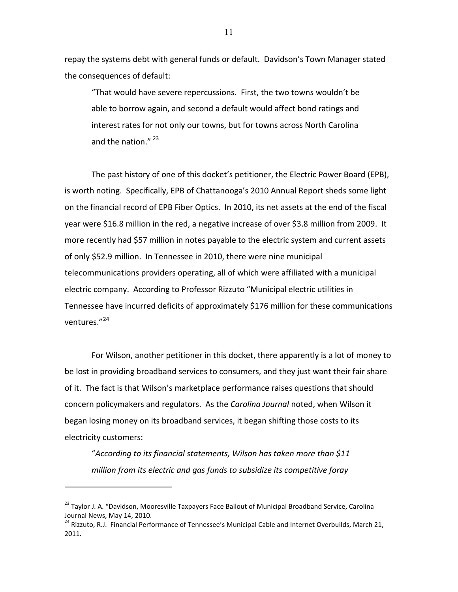repay the systems debt with general funds or default. Davidson's Town Manager stated the consequences of default:

"That would have severe repercussions. First, the two towns wouldn't be able to borrow again, and second a default would affect bond ratings and interest rates for not only our towns, but for towns across North Carolina and the nation."<sup>[23](#page-10-0)</sup>

The past history of one of this docket's petitioner, the Electric Power Board (EPB), is worth noting. Specifically, EPB of Chattanooga's 2010 Annual Report sheds some light on the financial record of EPB Fiber Optics. In 2010, its net assets at the end of the fiscal year were \$16.8 million in the red, a negative increase of over \$3.8 million from 2009. It more recently had \$57 million in notes payable to the electric system and current assets of only \$52.9 million. In Tennessee in 2010, there were nine municipal telecommunications providers operating, all of which were affiliated with a municipal electric company. According to Professor Rizzuto "Municipal electric utilities in Tennessee have incurred deficits of approximately \$176 million for these communications ventures."[24](#page-10-1)

For Wilson, another petitioner in this docket, there apparently is a lot of money to be lost in providing broadband services to consumers, and they just want their fair share of it. The fact is that Wilson's marketplace performance raises questions that should concern policymakers and regulators. As the *Carolina Journal* noted, when Wilson it began losing money on its broadband services, it began shifting those costs to its electricity customers:

"*According to its financial statements, Wilson has taken more than \$11 million from its electric and gas funds to subsidize its competitive foray* 

<span id="page-10-0"></span><sup>&</sup>lt;sup>23</sup> Taylor J. A. "Davidson, Mooresville Taxpayers Face Bailout of Municipal Broadband Service, Carolina Journal News, May 14, 2010.

<span id="page-10-1"></span><sup>&</sup>lt;sup>24</sup> Rizzuto, R.J. Financial Performance of Tennessee's Municipal Cable and Internet Overbuilds, March 21, 2011.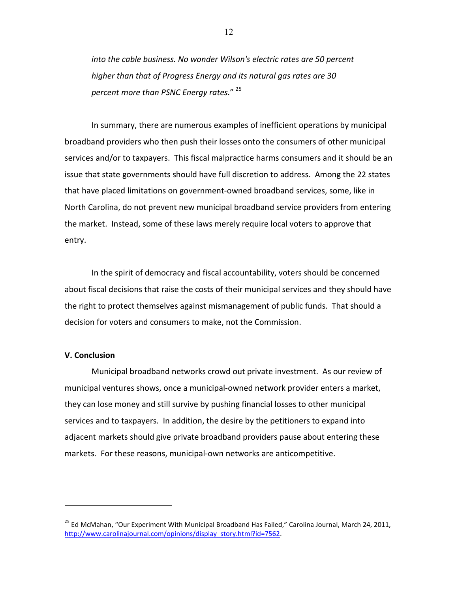*into the cable business. No wonder Wilson's electric rates are 50 percent higher than that of Progress Energy and its natural gas rates are 30 percent more than PSNC Energy rates.*" [25](#page-11-0)

In summary, there are numerous examples of inefficient operations by municipal broadband providers who then push their losses onto the consumers of other municipal services and/or to taxpayers. This fiscal malpractice harms consumers and it should be an issue that state governments should have full discretion to address. Among the 22 states that have placed limitations on government-owned broadband services, some, like in North Carolina, do not prevent new municipal broadband service providers from entering the market. Instead, some of these laws merely require local voters to approve that entry.

In the spirit of democracy and fiscal accountability, voters should be concerned about fiscal decisions that raise the costs of their municipal services and they should have the right to protect themselves against mismanagement of public funds. That should a decision for voters and consumers to make, not the Commission.

### **V. Conclusion**

 $\overline{a}$ 

Municipal broadband networks crowd out private investment. As our review of municipal ventures shows, once a municipal-owned network provider enters a market, they can lose money and still survive by pushing financial losses to other municipal services and to taxpayers. In addition, the desire by the petitioners to expand into adjacent markets should give private broadband providers pause about entering these markets. For these reasons, municipal-own networks are anticompetitive.

<span id="page-11-0"></span><sup>&</sup>lt;sup>25</sup> Ed McMahan, "Our Experiment With Municipal Broadband Has Failed," Carolina Journal, March 24, 2011, [http://www.carolinajournal.com/opinions/display\\_story.html?id=7562.](http://www.carolinajournal.com/opinions/display_story.html?id=7562)